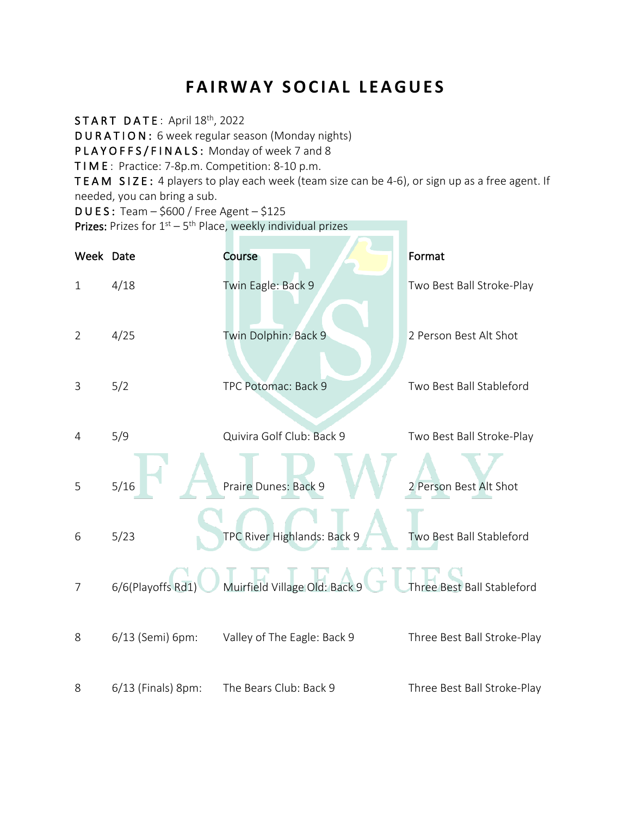# **FAIRWAY SOCIAL LEAGUES**

START DATE: April 18<sup>th</sup>, 2022

DURATION: 6 week regular season (Monday nights)

PLAYOFFS/FINALS: Monday of week 7 and 8

TIME : Practice: 7-8p.m. Competition: 8-10 p.m.

TEAM SIZE: 4 players to play each week (team size can be 4-6), or sign up as a free agent. If needed, you can bring a sub.

DUES: Team – \$600 / Free Agent – \$125

**Prizes:** Prizes for  $1^{st} - 5^{th}$  Place, weekly individual prizes

| Week Date      |                    | Course                        | Format                      |
|----------------|--------------------|-------------------------------|-----------------------------|
| $\mathbf{1}$   | 4/18               | Twin Eagle: Back 9            | Two Best Ball Stroke-Play   |
| $\overline{2}$ | 4/25               | Twin Dolphin: Back 9          | 2 Person Best Alt Shot      |
| 3              | 5/2                | TPC Potomac: Back 9           | Two Best Ball Stableford    |
| 4              | 5/9                | Quivira Golf Club: Back 9     | Two Best Ball Stroke-Play   |
| 5              | $5/16$             | Praire Dunes: Back 9          | 2 Person Best Alt Shot      |
| 6              | 5/23               | TPC River Highlands: Back 9   | Two Best Ball Stableford    |
| 7              | 6/6(Playoffs Rd1)  | Muirfield Village Old: Back 9 | Three Best Ball Stableford  |
| 8              | 6/13 (Semi) 6pm:   | Valley of The Eagle: Back 9   | Three Best Ball Stroke-Play |
| 8              | 6/13 (Finals) 8pm: | The Bears Club: Back 9        | Three Best Ball Stroke-Play |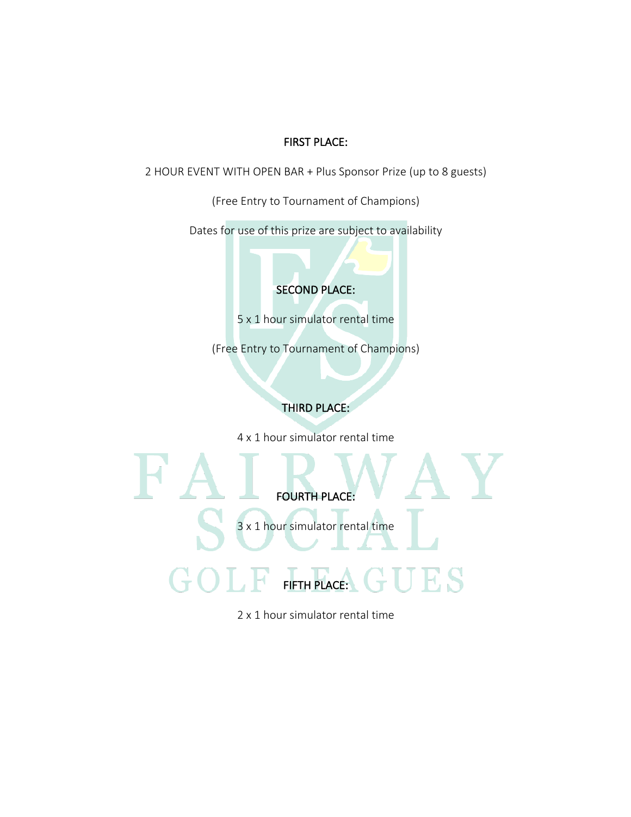## FIRST PLACE:

2 HOUR EVENT WITH OPEN BAR + Plus Sponsor Prize (up to 8 guests)

(Free Entry to Tournament of Champions)

Dates for use of this prize are subject to availability

SECOND PLACE:

5 x 1 hour simulator rental time

(Free Entry to Tournament of Champions)

## THIRD PLACE:

4 x 1 hour simulator rental time



2 x 1 hour simulator rental time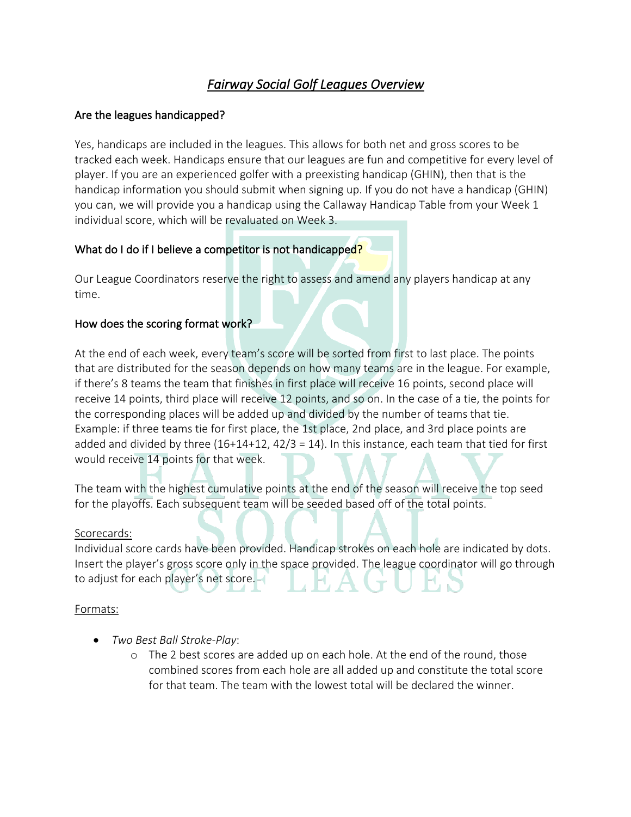## *Fairway Social Golf Leagues Overview*

## Are the leagues handicapped?

Yes, handicaps are included in the leagues. This allows for both net and gross scores to be tracked each week. Handicaps ensure that our leagues are fun and competitive for every level of player. If you are an experienced golfer with a preexisting handicap (GHIN), then that is the handicap information you should submit when signing up. If you do not have a handicap (GHIN) you can, we will provide you a handicap using the Callaway Handicap Table from your Week 1 individual score, which will be revaluated on Week 3.

## What do I do if I believe a competitor is not handicapped?

Our League Coordinators reserve the right to assess and amend any players handicap at any time.

## How does the scoring format work?

At the end of each week, every team's score will be sorted from first to last place. The points that are distributed for the season depends on how many teams are in the league. For example, if there's 8 teams the team that finishes in first place will receive 16 points, second place will receive 14 points, third place will receive 12 points, and so on. In the case of a tie, the points for the corresponding places will be added up and divided by the number of teams that tie. Example: if three teams tie for first place, the 1st place, 2nd place, and 3rd place points are added and divided by three  $(16+14+12, 42/3 = 14)$ . In this instance, each team that tied for first would receive 14 points for that week.

The team with the highest cumulative points at the end of the season will receive the top seed for the playoffs. Each subsequent team will be seeded based off of the total points.

#### Scorecards:

Individual score cards have been provided. Handicap strokes on each hole are indicated by dots. Insert the player's gross score only in the space provided. The league coordinator will go through to adjust for each player's net score.

## Formats:

- *Two Best Ball Stroke-Play*:
	- o The 2 best scores are added up on each hole. At the end of the round, those combined scores from each hole are all added up and constitute the total score for that team. The team with the lowest total will be declared the winner.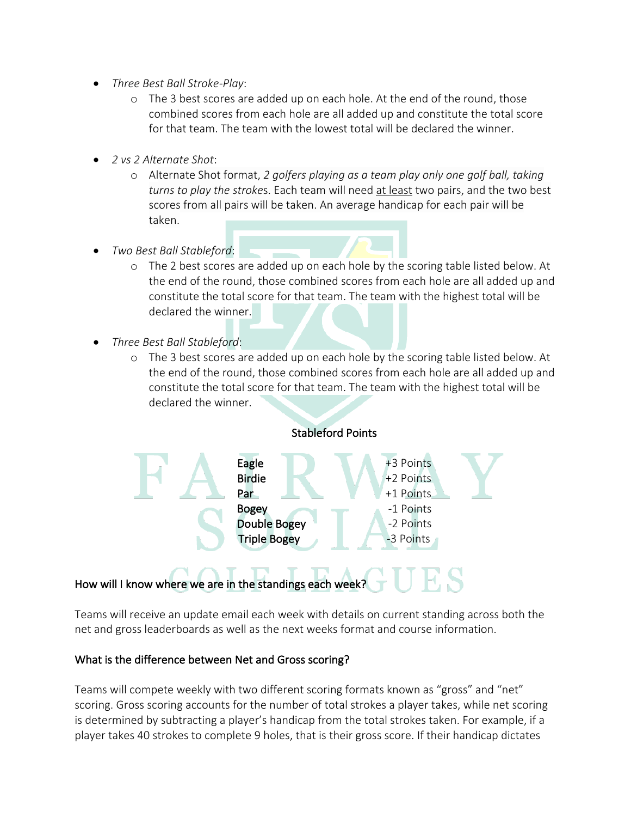- *Three Best Ball Stroke-Play*:
	- o The 3 best scores are added up on each hole. At the end of the round, those combined scores from each hole are all added up and constitute the total score for that team. The team with the lowest total will be declared the winner.
- *2 vs 2 Alternate Shot*:
	- o Alternate Shot format, *2 golfers playing as a team play only one golf ball, taking turns to play the stroke*s. Each team will need at least two pairs, and the two best scores from all pairs will be taken. An average handicap for each pair will be taken.
- *Two Best Ball Stableford*:
	- o The 2 best scores are added up on each hole by the scoring table listed below. At the end of the round, those combined scores from each hole are all added up and constitute the total score for that team. The team with the highest total will be declared the winner.
- *Three Best Ball Stableford*:
	- o The 3 best scores are added up on each hole by the scoring table listed below. At the end of the round, those combined scores from each hole are all added up and constitute the total score for that team. The team with the highest total will be declared the winner.



## How will I know where we are in the standings each week?

Teams will receive an update email each week with details on current standing across both the net and gross leaderboards as well as the next weeks format and course information.

## What is the difference between Net and Gross scoring?

Teams will compete weekly with two different scoring formats known as "gross" and "net" scoring. Gross scoring accounts for the number of total strokes a player takes, while net scoring is determined by subtracting a player's handicap from the total strokes taken. For example, if a player takes 40 strokes to complete 9 holes, that is their gross score. If their handicap dictates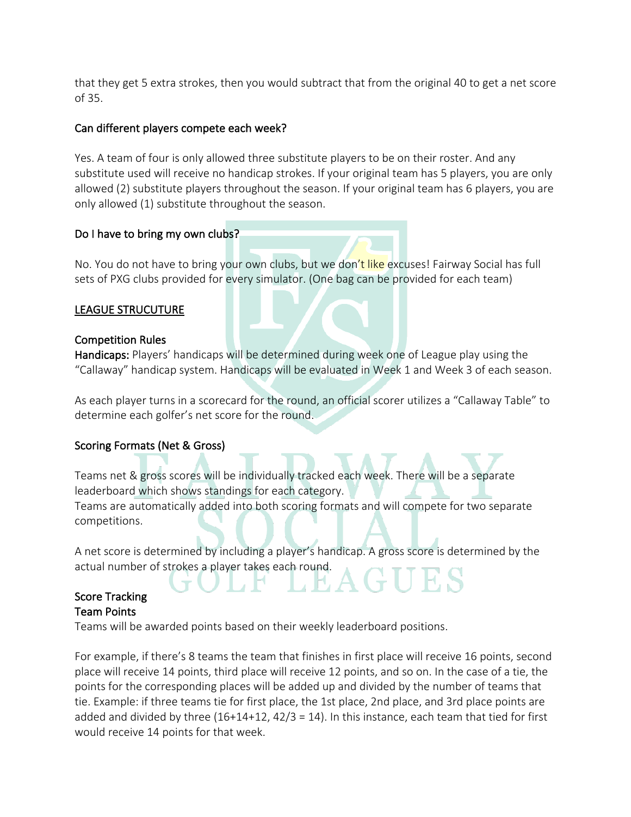that they get 5 extra strokes, then you would subtract that from the original 40 to get a net score of 35.

## Can different players compete each week?

Yes. A team of four is only allowed three substitute players to be on their roster. And any substitute used will receive no handicap strokes. If your original team has 5 players, you are only allowed (2) substitute players throughout the season. If your original team has 6 players, you are only allowed (1) substitute throughout the season.

## Do I have to bring my own clubs?

No. You do not have to bring your own clubs, but we don't like excuses! Fairway Social has full sets of PXG clubs provided for every simulator. (One bag can be provided for each team)

## LEAGUE STRUCUTURE

## Competition Rules

Handicaps: Players' handicaps will be determined during week one of League play using the "Callaway" handicap system. Handicaps will be evaluated in Week 1 and Week 3 of each season.

As each player turns in a scorecard for the round, an official scorer utilizes a "Callaway Table" to determine each golfer's net score for the round.

## Scoring Formats (Net & Gross)

Teams net & gross scores will be individually tracked each week. There will be a separate leaderboard which shows standings for each category. Teams are automatically added into both scoring formats and will compete for two separate competitions.

A net score is determined by including a player's handicap. A gross score is determined by the actual number of strokes a player takes each round.

## Score Tracking Team Points

Teams will be awarded points based on their weekly leaderboard positions.

For example, if there's 8 teams the team that finishes in first place will receive 16 points, second place will receive 14 points, third place will receive 12 points, and so on. In the case of a tie, the points for the corresponding places will be added up and divided by the number of teams that tie. Example: if three teams tie for first place, the 1st place, 2nd place, and 3rd place points are added and divided by three  $(16+14+12, 42/3 = 14)$ . In this instance, each team that tied for first would receive 14 points for that week.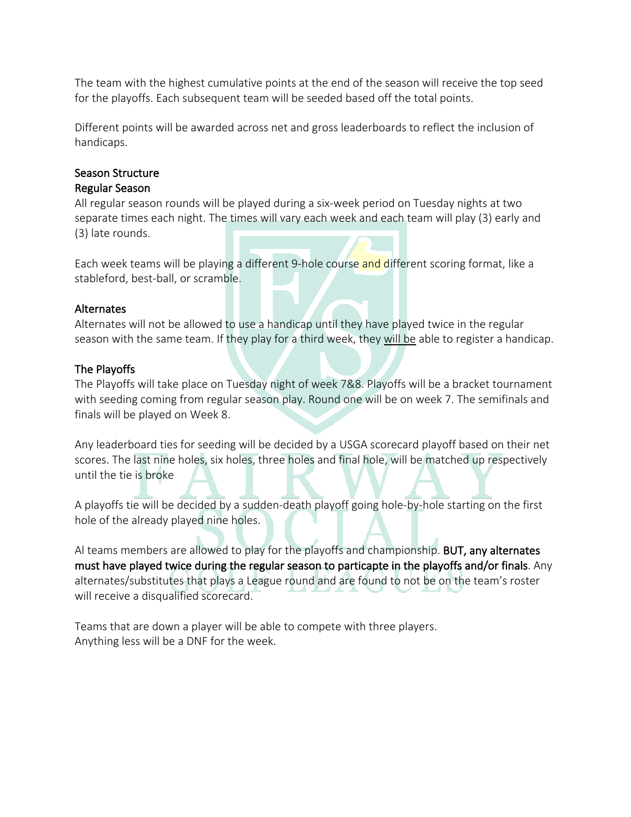The team with the highest cumulative points at the end of the season will receive the top seed for the playoffs. Each subsequent team will be seeded based off the total points.

Different points will be awarded across net and gross leaderboards to reflect the inclusion of handicaps.

## Season Structure Regular Season

All regular season rounds will be played during a six-week period on Tuesday nights at two separate times each night. The times will vary each week and each team will play (3) early and (3) late rounds.

Each week teams will be playing a different 9-hole course and different scoring format, like a stableford, best-ball, or scramble.

## Alternates

Alternates will not be allowed to use a handicap until they have played twice in the regular season with the same team. If they play for a third week, they will be able to register a handicap.

## The Playoffs

The Playoffs will take place on Tuesday night of week 7&8. Playoffs will be a bracket tournament with seeding coming from regular season play. Round one will be on week 7. The semifinals and finals will be played on Week 8.

Any leaderboard ties for seeding will be decided by a USGA scorecard playoff based on their net scores. The last nine holes, six holes, three holes and final hole, will be matched up respectively until the tie is broke

A playoffs tie will be decided by a sudden-death playoff going hole-by-hole starting on the first hole of the already played nine holes.

Al teams members are allowed to play for the playoffs and championship. BUT, any alternates must have played twice during the regular season to particapte in the playoffs and/or finals. Any alternates/substitutes that plays a League round and are found to not be on the team's roster will receive a disqualified scorecard.

Teams that are down a player will be able to compete with three players. Anything less will be a DNF for the week.